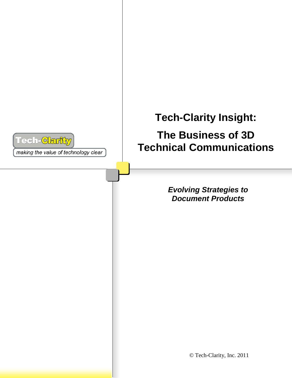

making the value of technology clear

# **Tech-Clarity Insight:**

## **The Business of 3D Technical Communications**

*Evolving Strategies to Document Products*

© Tech-Clarity, Inc. 2011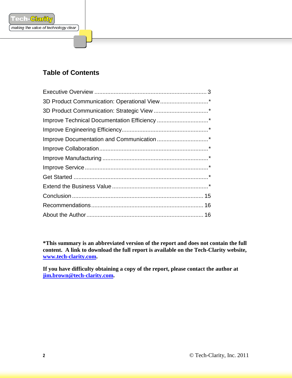

### **Table of Contents**

| 3D Product Communication: Operational View* |  |
|---------------------------------------------|--|
|                                             |  |
|                                             |  |
|                                             |  |
|                                             |  |
|                                             |  |
|                                             |  |
|                                             |  |
|                                             |  |
|                                             |  |
|                                             |  |
|                                             |  |
|                                             |  |

**\*This summary is an abbreviated version of the report and does not contain the full content. A link to download the full report is available on the Tech-Clarity website, [www.tech-clarity.com.](http://www.tech-clarity.com/)** 

**If you have difficulty obtaining a copy of the report, please contact the author at [jim.brown@tech-clarity.com.](mailto:jim.brown@tech-clarity.com)**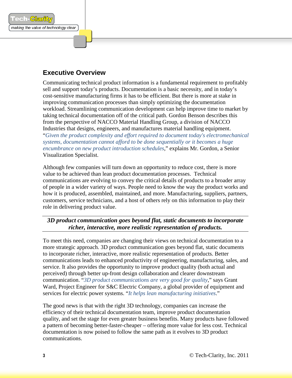#### **Executive Overview**

'ech-Gariff

making the value of technology clear

Communicating technical product information is a fundamental requirement to profitably sell and support today's products. Documentation is a basic necessity, and in today's cost-sensitive manufacturing firms it has to be efficient. But there is more at stake in improving communication processes than simply optimizing the documentation workload. Streamlining communication development can help improve time to market by taking technical documentation off of the critical path. Gordon Benson describes this from the perspective of NACCO Material Handling Group, a division of NACCO Industries that designs, engineers, and manufactures material handling equipment. "*Given the product complexity and effort required to document today's electromechanical systems, documentation cannot afford to be done sequentially or it becomes a huge encumbrance on new product introduction schedules*," explains Mr. Gordon, a Senior Visualization Specialist.

Although few companies will turn down an opportunity to reduce cost, there is more value to be achieved than lean product documentation processes. Technical communications are evolving to convey the critical details of products to a broader array of people in a wider variety of ways. People need to know the way the product works and how it is produced, assembled, maintained, and more. Manufacturing, suppliers, partners, customers, service technicians, and a host of others rely on this information to play their role in delivering product value.

*3D product communication goes beyond flat, static documents to incorporate richer, interactive, more realistic representation of products.*

To meet this need, companies are changing their views on technical documentation to a more strategic approach. 3D product communication goes beyond flat, static documents to incorporate richer, interactive, more realistic representation of products. Better communications leads to enhanced productivity of engineering, manufacturing, sales, and service. It also provides the opportunity to improve product quality (both actual and perceived) through better up-front design collaboration and clearer downstream communication. "*3D product communications are very good for quality*," says Grant Ward, Project Engineer for S&C Electric Company, a global provider of equipment and services for electric power systems. "*It helps lean manufacturing initiatives*."

The good news is that with the right 3D technology, companies can increase the efficiency of their technical documentation team, improve product documentation quality, and set the stage for even greater business benefits. Many products have followed a pattern of becoming better-faster-cheaper – offering more value for less cost. Technical documentation is now poised to follow the same path as it evolves to 3D product communications.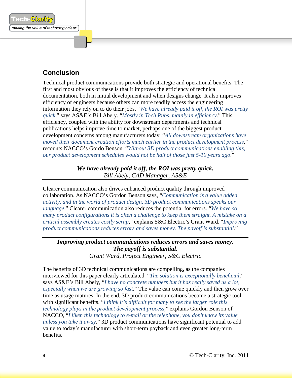#### **Conclusion**

ech-<mark>ଔର</mark>ୀୀ

making the value of technology clear

Technical product communications provide both strategic and operational benefits. The first and most obvious of these is that it improves the efficiency of technical documentation, both in initial development and when designs change. It also improves efficiency of engineers because others can more readily access the engineering information they rely on to do their jobs. "*We have already paid it off, the ROI was pretty quick*," says AS&E's Bill Abely. "*Mostly in Tech Pubs, mainly in efficiency*." This efficiency, coupled with the ability for downstream departments and technical publications helps improve time to market, perhaps one of the biggest product development concerns among manufacturers today. "*All downstream organizations have moved their document creation efforts much earlier in the product development process*," recounts NACCO's Gordo Benson. "*Without 3D product communications enabling this, our product development schedules would not be half of those just 5-10 years ago*."

> *We have already paid it off, the ROI was pretty quick. Bill Abely, CAD Manager, AS&E*

Clearer communication also drives enhanced product quality through improved collaboration. As NACCO's Gordon Benson says, "*Communication is a value added activity, and in the world of product design, 3D product communications speaks our language*." Clearer communication also reduces the potential for errors. "*We have so many product configurations it is often a challenge to keep them straight. A mistake on a critical assembly creates costly scrap*," explains S&C Electric's Grant Ward. "*Improving product communications reduces errors and saves money. The payoff is substantial*."

*Improving product communications reduces errors and saves money. The payoff is substantial. Grant Ward, Project Engineer, S&C Electric*

The benefits of 3D technical communications are compelling, as the companies interviewed for this paper clearly articulated. "*The solution is exceptionally beneficial*," says AS&E's Bill Abely, "*I have no concrete numbers but it has really saved us a lot, especially when we are growing so fast*." The value can come quickly and then grow over time as usage matures. In the end, 3D product communications become a strategic tool with significant benefits. "*I think it's difficult for many to see the larger role this technology plays in the product development process*," explains Gordon Benson of NACCO, "*I liken this technology to e-mail or the telephone, you don't know its value unless you take it away*." 3D product communications have significant potential to add value to today's manufacturer with short-term payback and even greater long-term benefits.